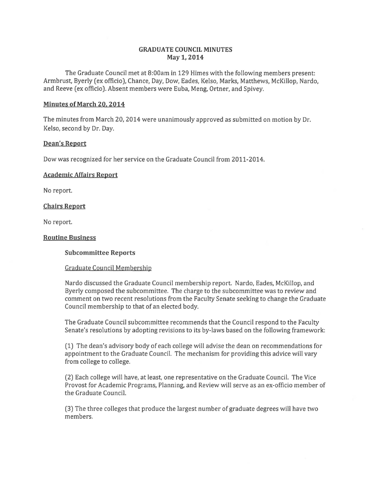# **GRADUATE COUNCIL MINUTES May 1, 2014**

The Graduate Council met at 8:00am in 129 Himes with the following members present: Armbrust, Byerly (ex officio), Chance, Day, Dow, Eades, Kelso, Marks, Matthews, McKillop, Nardo, and Reeve (ex officio). Absent members were Euba, Meng, Ortner, and Spivey.

## **Minutes of March 20. 2014**

The minutes from March 20, 2014 were unanimously approved as submitted on motion by Dr. Kelso, second by Dr. Day.

## **Dean's Report**

Dow was recognized for her service on the Graduate Council from 2011-2014.

## **Academic Affairs Report**

No report.

## **Chairs Report**

No report.

## **Routine Business**

## **Subcommittee Reports**

### Graduate Council Membership

Nardo discussed the Graduate Council membership report. Nardo, Eades, McKillop, and Byerly composed the subcommittee. The charge to the subcommittee was to review and comment on two recent resolutions from the Faculty Senate seeking to change the Graduate Council membership to that of an elected body.

The Graduate Council subcommittee recommends that the Council respond to the Faculty Senate's resolutions by adopting revisions to its by-laws based on the following framework:

(1) The dean's advisory body of each college will advise the dean on recommendations for appointment to the Graduate Council. The mechanism for providing this advice will vary from college to college.

(2) Each college will have, at least, one representative on the Graduate Council. The Vice Provost for Academic Programs, Planning, and Review will serve as an ex-officio member of the Graduate Council.

(3) The three colleges that produce the largest number of graduate degrees will have two members.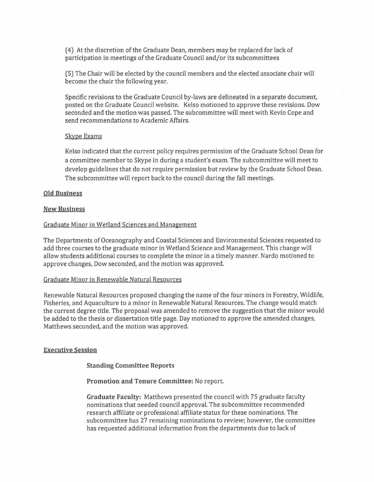(4) At the discretion of the Graduate Dean, members may be replaced for lack of participation in meetings of the Graduate Council and/or its subcommittees

(5) The Chair will be elected by the council members and the elected associate chair will become the chair the following year.

Specific revisions to the Graduate Council by-laws are delineated in a separate document, posted on the Graduate Council website. Kelso motioned to approve these revisions. Dow seconded and the motion was passed. The subcommittee will meet with Kevin Cope and send recommendations to Academic Affairs.

#### Skype Exams

Kelso indicated that the current policy requires permission of the Graduate School Dean for a committee member to Skype in during a student's exam. The subcommittee will meet to develop guidelines that do not require permission but review by the Graduate School Dean. The subcommittee will report back to the council during the fall meetings.

#### **Old Business**

#### **New Business**

### Graduate Minor in Wetland Sciences and Management

The Departments of Oceanography and Coastal Sciences and Environmental Sciences requested to add three courses to the graduate minor in Wetland Science and Management. This change will allow students additional courses to complete the minor in a timely manner. Nardo motioned to approve changes, Dow seconded, and the motion was approved.

#### Graduate Minor in Renewable Natural Resources

Renewable Natural Resources proposed changing the name of the four minors in Forestry, Wildlife, Fisheries, and Aquaculture to a minor in Renewable Natural Resources. The change would match the current degree title. The proposal was amended to remove the suggestion that the minor would be added to the thesis or dissertation title page. Day motioned to approve the amended changes, Matthews seconded, and the motion was approved.

### **Executive Session**

## **Standing Committee Reports**

**Promotion and Tenure Committee:** No report.

**Graduate Faculty:** Matthews presented the council with 75 graduate faculty nominations that needed council approval. The subcommittee recommended research affiliate or professional affiliate status for these nominations. The subcommittee has 27 remaining nominations to review; however, the committee has requested additional information from the departments due to lack of